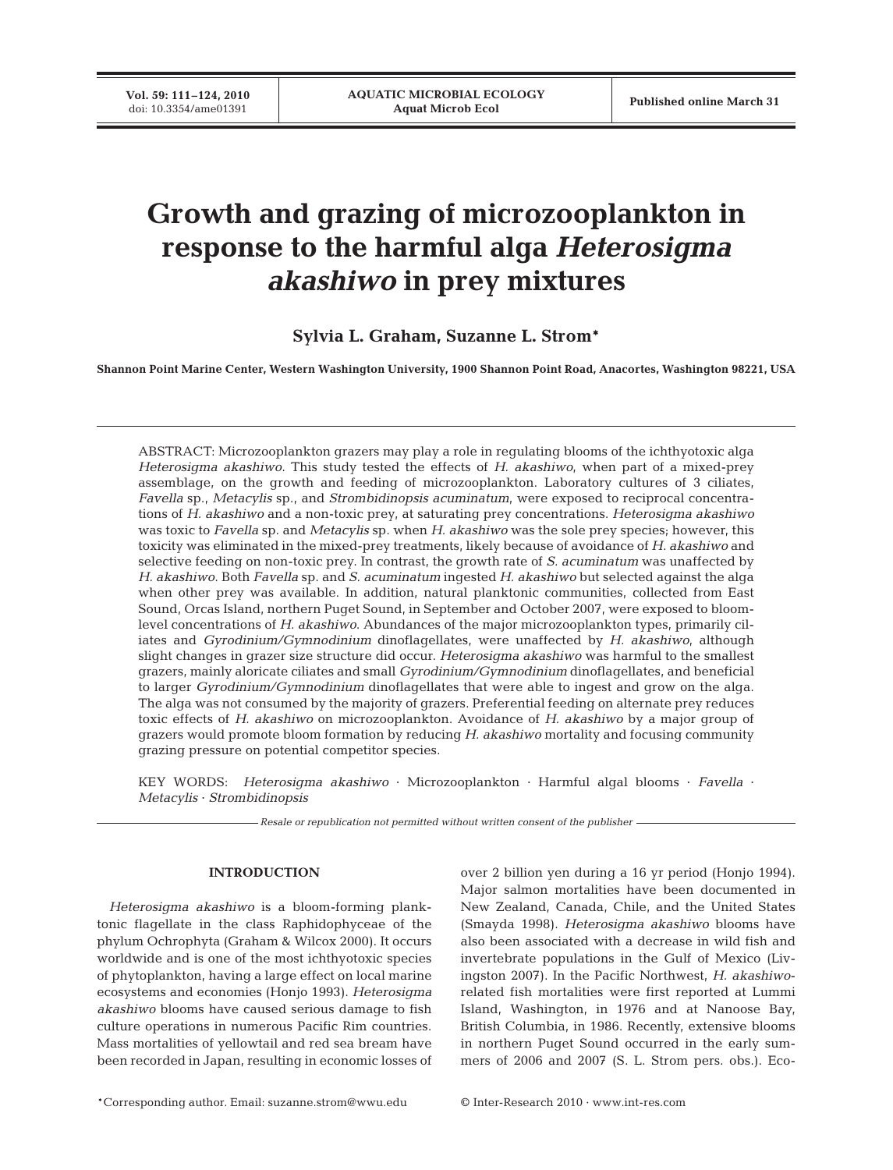**Vol. 59: 111-124, 2010**<br>doi: 10.3354/ame01391

# **Growth and grazing of microzooplankton in response to the harmful alga** *Heterosigma akashiwo* **in prey mixtures**

**Sylvia L. Graham, Suzanne L. Strom\***

**Shannon Point Marine Center, Western Washington University, 1900 Shannon Point Road, Anacortes, Washington 98221, USA**

ABSTRACT: Microzooplankton grazers may play a role in regulating blooms of the ichthyotoxic alga *Heterosigma akashiwo*. This study tested the effects of *H. akashiwo*, when part of a mixed-prey assemblage, on the growth and feeding of microzooplankton. Laboratory cultures of 3 ciliates, *Favella* sp., *Metacylis* sp., and *Strombidinopsis acuminatum*, were exposed to reciprocal concentrations of *H. akashiwo* and a non-toxic prey, at saturating prey concentrations. *Heterosigma akashiwo* was toxic to *Favella* sp. and *Metacylis* sp. when *H. akashiwo* was the sole prey species; however, this toxicity was eliminated in the mixed-prey treatments, likely because of avoidance of *H. akashiwo* and selective feeding on non-toxic prey. In contrast, the growth rate of *S. acuminatum* was unaffected by *H. akashiwo*. Both *Favella* sp. and *S. acuminatum* ingested *H. akashiwo* but selected against the alga when other prey was available. In addition, natural planktonic communities, collected from East Sound, Orcas Island, northern Puget Sound, in September and October 2007, were exposed to bloomlevel concentrations of *H. akashiwo*. Abundances of the major microzooplankton types, primarily ciliates and *Gyrodinium/Gymnodinium* dinoflagellates, were unaffected by *H. akashiwo*, although slight changes in grazer size structure did occur. *Heterosigma akashiwo* was harmful to the smallest grazers, mainly aloricate ciliates and small *Gyrodinium/Gymnodinium* dinoflagellates, and beneficial to larger *Gyrodinium/Gymnodinium* dinoflagellates that were able to ingest and grow on the alga. The alga was not consumed by the majority of grazers. Preferential feeding on alternate prey reduces toxic effects of *H. akashiwo* on microzooplankton. Avoidance of *H. akashiwo* by a major group of grazers would promote bloom formation by reducing *H. akashiwo* mortality and focusing community grazing pressure on potential competitor species.

KEY WORDS: *Heterosigma akashiwo* · Microzooplankton · Harmful algal blooms · *Favella* · *Metacylis* · *Strombidinopsis*

*Resale or republication not permitted without written consent of the publisher*

## **INTRODUCTION**

*Heterosigma akashiwo* is a bloom-forming planktonic flagellate in the class Raphidophyceae of the phylum Ochrophyta (Graham & Wilcox 2000). It occurs worldwide and is one of the most ichthyotoxic species of phytoplankton, having a large effect on local marine ecosystems and economies (Honjo 1993). *Heterosigma akashiwo* blooms have caused serious damage to fish culture operations in numerous Pacific Rim countries. Mass mortalities of yellowtail and red sea bream have been recorded in Japan, resulting in economic losses of over 2 billion yen during a 16 yr period (Honjo 1994). Major salmon mortalities have been documented in New Zealand, Canada, Chile, and the United States (Smayda 1998)*. Heterosigma akashiwo* blooms have also been associated with a decrease in wild fish and invertebrate populations in the Gulf of Mexico (Livingston 2007). In the Pacific Northwest, *H. akashiwo*related fish mortalities were first reported at Lummi Island, Washington, in 1976 and at Nanoose Bay, British Columbia, in 1986. Recently, extensive blooms in northern Puget Sound occurred in the early summers of 2006 and 2007 (S. L. Strom pers. obs.). Eco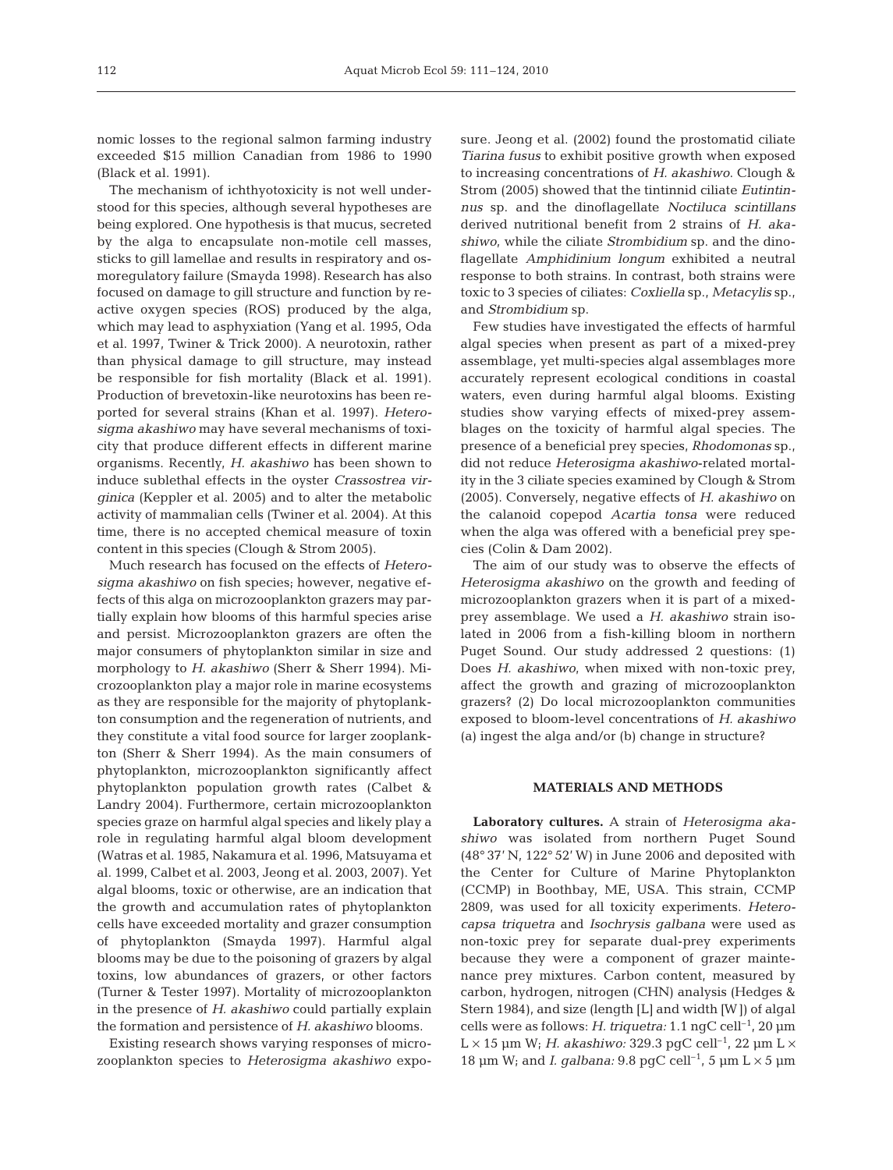nomic losses to the regional salmon farming industry exceeded \$15 million Canadian from 1986 to 1990 (Black et al. 1991).

The mechanism of ichthyotoxicity is not well understood for this species, although several hypotheses are being explored. One hypothesis is that mucus, secreted by the alga to encapsulate non-motile cell masses, sticks to gill lamellae and results in respiratory and osmoregulatory failure (Smayda 1998). Research has also focused on damage to gill structure and function by reactive oxygen species (ROS) produced by the alga, which may lead to asphyxiation (Yang et al. 1995, Oda et al. 1997, Twiner & Trick 2000). A neurotoxin, rather than physical damage to gill structure, may instead be responsible for fish mortality (Black et al. 1991). Production of brevetoxin-like neurotoxins has been reported for several strains (Khan et al. 1997). *Heterosigma akashiwo* may have several mechanisms of toxicity that produce different effects in different marine organisms. Recently, *H. akashiwo* has been shown to induce sublethal effects in the oyster *Crassostrea virginica* (Keppler et al. 2005) and to alter the metabolic activity of mammalian cells (Twiner et al. 2004). At this time, there is no accepted chemical measure of toxin content in this species (Clough & Strom 2005).

Much research has focused on the effects of *Heterosigma akashiwo* on fish species; however, negative effects of this alga on microzooplankton grazers may partially explain how blooms of this harmful species arise and persist. Microzooplankton grazers are often the major consumers of phytoplankton similar in size and morphology to *H. akashiwo* (Sherr & Sherr 1994). Microzooplankton play a major role in marine ecosystems as they are responsible for the majority of phytoplankton consumption and the regeneration of nutrients, and they constitute a vital food source for larger zooplankton (Sherr & Sherr 1994). As the main consumers of phytoplankton, microzooplankton significantly affect phytoplankton population growth rates (Calbet & Landry 2004). Furthermore, certain microzooplankton species graze on harmful algal species and likely play a role in regulating harmful algal bloom development (Watras et al. 1985, Nakamura et al. 1996, Matsuyama et al. 1999, Calbet et al. 2003, Jeong et al. 2003, 2007). Yet algal blooms, toxic or otherwise, are an indication that the growth and accumulation rates of phytoplankton cells have exceeded mortality and grazer consumption of phytoplankton (Smayda 1997). Harmful algal blooms may be due to the poisoning of grazers by algal toxins, low abundances of grazers, or other factors (Turner & Tester 1997). Mortality of microzooplankton in the presence of *H. akashiwo* could partially explain the formation and persistence of *H. akashiwo* blooms.

Existing research shows varying responses of microzooplankton species to *Heterosigma akashiwo* exposure. Jeong et al. (2002) found the prostomatid ciliate *Tiarina fusus* to exhibit positive growth when exposed to increasing concentrations of *H. akashiwo*. Clough & Strom (2005) showed that the tintinnid ciliate *Eutintinnus* sp. and the dinoflagellate *Noctiluca scintillans* derived nutritional benefit from 2 strains of *H. akashiwo*, while the ciliate *Strombidium* sp. and the dinoflagellate *Amphidinium longum* exhibited a neutral response to both strains. In contrast, both strains were toxic to 3 species of ciliates: *Coxliella* sp., *Metacylis* sp., and *Strombidium* sp.

Few studies have investigated the effects of harmful algal species when present as part of a mixed-prey assemblage, yet multi-species algal assemblages more accurately represent ecological conditions in coastal waters, even during harmful algal blooms. Existing studies show varying effects of mixed-prey assemblages on the toxicity of harmful algal species. The presence of a beneficial prey species, *Rhodomonas* sp., did not reduce *Heterosigma akashiwo*-related mortality in the 3 ciliate species examined by Clough & Strom (2005). Conversely, negative effects of *H. akashiwo* on the calanoid copepod *Acartia tonsa* were reduced when the alga was offered with a beneficial prey species (Colin & Dam 2002).

The aim of our study was to observe the effects of *Heterosigma akashiwo* on the growth and feeding of microzooplankton grazers when it is part of a mixedprey assemblage. We used a *H. akashiwo* strain isolated in 2006 from a fish-killing bloom in northern Puget Sound. Our study addressed 2 questions: (1) Does *H. akashiwo*, when mixed with non-toxic prey, affect the growth and grazing of microzooplankton grazers? (2) Do local microzooplankton communities exposed to bloom-level concentrations of *H. akashiwo* (a) ingest the alga and/or (b) change in structure?

## **MATERIALS AND METHODS**

**Laboratory cultures.** A strain of *Heterosigma akashiwo* was isolated from northern Puget Sound (48° 37' N, 122° 52' W) in June 2006 and deposited with the Center for Culture of Marine Phytoplankton (CCMP) in Boothbay, ME, USA. This strain, CCMP 2809, was used for all toxicity experiments. *Heterocapsa triquetra* and *Isochrysis galbana* were used as non-toxic prey for separate dual-prey experiments because they were a component of grazer maintenance prey mixtures. Carbon content, measured by carbon, hydrogen, nitrogen (CHN) analysis (Hedges & Stern 1984), and size (length [L] and width [W]) of algal cells were as follows: *H. triquetra:* 1.1 ngC cell–1, 20 µm  $L \times 15$  µm W; *H. akashiwo:* 329.3 pgC cell<sup>-1</sup>, 22 µm  $L \times$ 18  $\mu$ m W; and *I. galbana:* 9.8 pgC cell<sup>-1</sup>, 5  $\mu$ m L  $\times$  5  $\mu$ m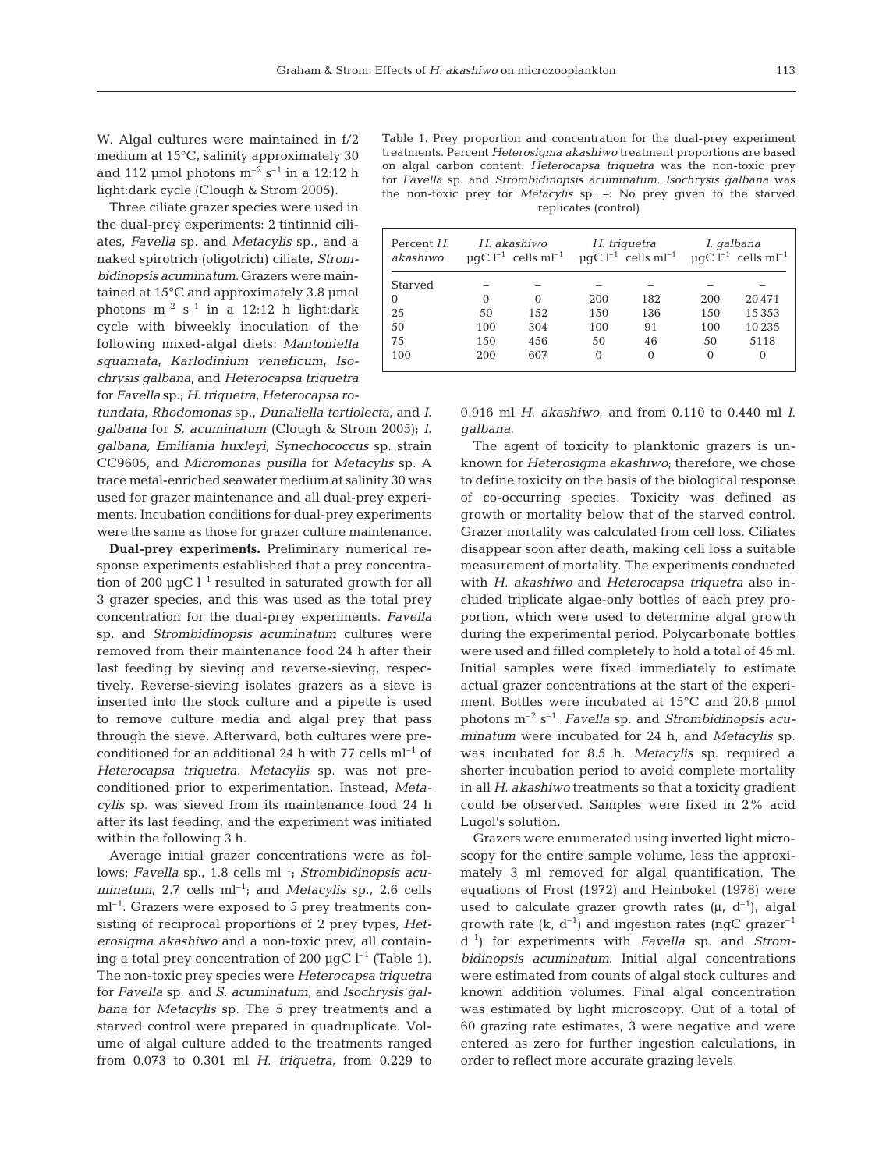W. Algal cultures were maintained in f/2 medium at 15°C, salinity approximately 30 and 112 µmol photons  $m^{-2}$  s<sup>-1</sup> in a 12:12 h light:dark cycle (Clough & Strom 2005).

Three ciliate grazer species were used in the dual-prey experiments: 2 tintinnid ciliates, *Favella* sp. and *Metacylis* sp., and a naked spirotrich (oligotrich) ciliate, *Strombidinopsis acuminatum*. Grazers were maintained at 15°C and approximately 3.8 µmol photons  $m^{-2}$  s<sup>-1</sup> in a 12:12 h light:dark cycle with biweekly inoculation of the following mixed-algal diets: *Mantoniella squamata*, *Karlodinium veneficum*, *Isochrysis galbana*, and *Heterocapsa triquetra* for *Favella* sp.; *H. triquetra*, *Heterocapsa ro-*

*tundata*, *Rhodomonas* sp., *Dunaliella tertiolecta*, and *I. galbana* for *S. acuminatum* (Clough & Strom 2005); *I. galbana, Emiliania huxleyi, Synechococcus* sp. strain CC9605, and *Micromonas pusilla* for *Metacylis* sp. A trace metal-enriched seawater medium at salinity 30 was used for grazer maintenance and all dual-prey experiments. Incubation conditions for dual-prey experiments were the same as those for grazer culture maintenance.

**Dual-prey experiments.** Preliminary numerical response experiments established that a prey concentration of 200  $\mu$ gC l<sup>-1</sup> resulted in saturated growth for all 3 grazer species, and this was used as the total prey concentration for the dual-prey experiments. *Favella* sp. and *Strombidinopsis acuminatum* cultures were removed from their maintenance food 24 h after their last feeding by sieving and reverse-sieving, respectively. Reverse-sieving isolates grazers as a sieve is inserted into the stock culture and a pipette is used to remove culture media and algal prey that pass through the sieve. Afterward, both cultures were preconditioned for an additional 24 h with 77 cells  $ml^{-1}$  of *Heterocapsa triquetra*. *Metacylis* sp. was not preconditioned prior to experimentation. Instead, *Metacylis* sp. was sieved from its maintenance food 24 h after its last feeding, and the experiment was initiated within the following 3 h.

Average initial grazer concentrations were as follows: Favella sp., 1.8 cells ml<sup>-1</sup>; *Strombidinopsis acuminatum*,  $2.7$  cells  $ml^{-1}$ ; and *Metacylis* sp.,  $2.6$  cells ml<sup>-1</sup>. Grazers were exposed to 5 prey treatments consisting of reciprocal proportions of 2 prey types, *Heterosigma akashiwo* and a non-toxic prey, all containing a total prey concentration of 200  $\mu$ gC l<sup>-1</sup> (Table 1). The non-toxic prey species were *Heterocapsa triquetra* for *Favella* sp. and *S. acuminatum*, and *Isochrysis galbana* for *Metacylis* sp. The 5 prey treatments and a starved control were prepared in quadruplicate. Volume of algal culture added to the treatments ranged from 0.073 to 0.301 ml *H. triquetra*, from 0.229 to

Table 1. Prey proportion and concentration for the dual-prey experiment treatments. Percent *Heterosigma akashiwo* treatment proportions are based on algal carbon content. *Heterocapsa triquetra* was the non-toxic prey for *Favella* sp. and *Strombidinopsis acuminatum. Isochrysis galbana* was the non-toxic prey for *Metacylis* sp. –: No prey given to the starved replicates (control)

| Percent H.<br>akashiwo |          | H. akashiwo<br>$\mu qC l^{-1}$ cells ml <sup>-1</sup> |          | H. triquetra<br>$\mu qC l^{-1}$ cells ml <sup>-1</sup> |     | I. galbana<br>$\mu$ qC l <sup>-1</sup> cells ml <sup>-1</sup> |
|------------------------|----------|-------------------------------------------------------|----------|--------------------------------------------------------|-----|---------------------------------------------------------------|
| Starved                |          |                                                       |          |                                                        |     |                                                               |
| $\Omega$               | $\Omega$ | $\Omega$                                              | 200      | 182                                                    | 200 | 20471                                                         |
| 25                     | 50       | 152                                                   | 150      | 136                                                    | 150 | 15 3 5 3                                                      |
| 50                     | 100      | 304                                                   | 100      | 91                                                     | 100 | 10235                                                         |
| 75                     | 150      | 456                                                   | 50       | 46                                                     | 50  | 5118                                                          |
| 100                    | 200      | 607                                                   | $\Omega$ | 0                                                      | 0   | $\Omega$                                                      |

0.916 ml *H. akashiwo*, and from 0.110 to 0.440 ml *I. galbana*.

The agent of toxicity to planktonic grazers is unknown for *Heterosigma akashiwo*; therefore, we chose to define toxicity on the basis of the biological response of co-occurring species. Toxicity was defined as growth or mortality below that of the starved control. Grazer mortality was calculated from cell loss. Ciliates disappear soon after death, making cell loss a suitable measurement of mortality. The experiments conducted with *H. akashiwo* and *Heterocapsa triquetra* also included triplicate algae-only bottles of each prey proportion, which were used to determine algal growth during the experimental period. Polycarbonate bottles were used and filled completely to hold a total of 45 ml. Initial samples were fixed immediately to estimate actual grazer concentrations at the start of the experiment. Bottles were incubated at 15°C and 20.8 µmol photons m–2 s–1. *Favella* sp. and *Strombidinopsis acuminatum* were incubated for 24 h, and *Metacylis* sp. was incubated for 8.5 h. *Metacylis* sp. required a shorter incubation period to avoid complete mortality in all *H. akashiwo* treatments so that a toxicity gradient could be observed. Samples were fixed in 2% acid Lugol's solution.

Grazers were enumerated using inverted light microscopy for the entire sample volume, less the approximately 3 ml removed for algal quantification. The equations of Frost (1972) and Heinbokel (1978) were used to calculate grazer growth rates  $(\mu, d^{-1})$ , algal growth rate (k,  $d^{-1}$ ) and ingestion rates (ngC grazer<sup>-1</sup> d–1) for experiments with *Favella* sp. and *Strombidinopsis acuminatum*. Initial algal concentrations were estimated from counts of algal stock cultures and known addition volumes. Final algal concentration was estimated by light microscopy. Out of a total of 60 grazing rate estimates, 3 were negative and were entered as zero for further ingestion calculations, in order to reflect more accurate grazing levels.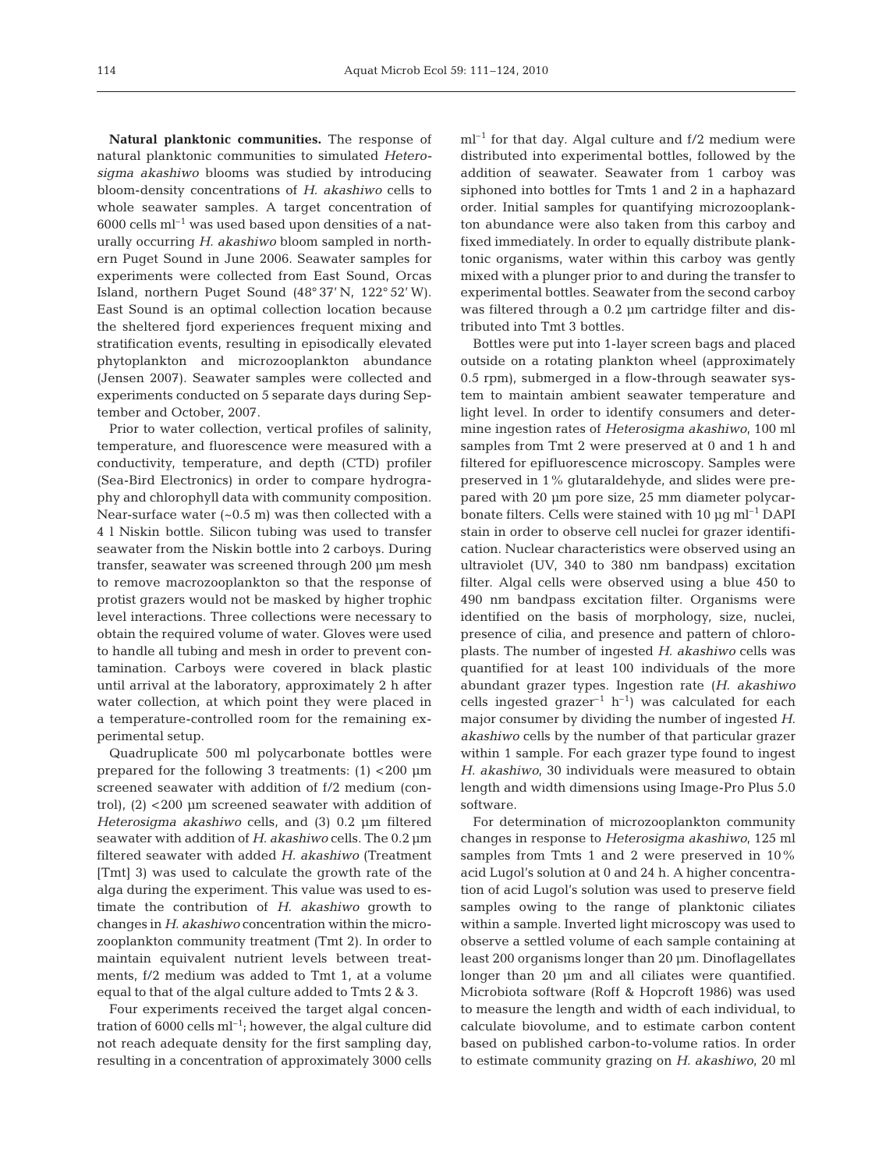**Natural planktonic communities.** The response of natural planktonic communities to simulated *Heterosigma akashiwo* blooms was studied by introducing bloom-density concentrations of *H. akashiwo* cells to whole seawater samples. A target concentration of  $6000$  cells ml<sup>-1</sup> was used based upon densities of a naturally occurring *H. akashiwo* bloom sampled in northern Puget Sound in June 2006. Seawater samples for experiments were collected from East Sound, Orcas Island, northern Puget Sound (48° 37' N, 122° 52' W). East Sound is an optimal collection location because the sheltered fjord experiences frequent mixing and stratification events, resulting in episodically elevated phytoplankton and microzooplankton abundance (Jensen 2007). Seawater samples were collected and experiments conducted on 5 separate days during September and October, 2007.

Prior to water collection, vertical profiles of salinity, temperature, and fluorescence were measured with a conductivity, temperature, and depth (CTD) profiler (Sea-Bird Electronics) in order to compare hydrography and chlorophyll data with community composition. Near-surface water  $(-0.5 \text{ m})$  was then collected with a 4 l Niskin bottle. Silicon tubing was used to transfer seawater from the Niskin bottle into 2 carboys. During transfer, seawater was screened through 200 µm mesh to remove macrozooplankton so that the response of protist grazers would not be masked by higher trophic level interactions. Three collections were necessary to obtain the required volume of water. Gloves were used to handle all tubing and mesh in order to prevent contamination. Carboys were covered in black plastic until arrival at the laboratory, approximately 2 h after water collection, at which point they were placed in a temperature-controlled room for the remaining experimental setup.

Quadruplicate 500 ml polycarbonate bottles were prepared for the following 3 treatments:  $(1)$  <200  $\mu$ m screened seawater with addition of f/2 medium (control), (2) <200 µm screened seawater with addition of *Heterosigma akashiwo* cells, and (3) 0.2 µm filtered seawater with addition of *H. akashiwo* cells. The 0.2 µm filtered seawater with added *H. akashiwo* (Treatment [Tmt] 3) was used to calculate the growth rate of the alga during the experiment. This value was used to estimate the contribution of *H. akashiwo* growth to changes in *H. akashiwo* concentration within the microzooplankton community treatment (Tmt 2). In order to maintain equivalent nutrient levels between treatments, f/2 medium was added to Tmt 1, at a volume equal to that of the algal culture added to Tmts 2 & 3.

Four experiments received the target algal concentration of 6000 cells  $ml^{-1}$ ; however, the algal culture did not reach adequate density for the first sampling day, resulting in a concentration of approximately 3000 cells  $ml<sup>-1</sup>$  for that day. Algal culture and f/2 medium were distributed into experimental bottles, followed by the addition of seawater. Seawater from 1 carboy was siphoned into bottles for Tmts 1 and 2 in a haphazard order. Initial samples for quantifying microzooplankton abundance were also taken from this carboy and fixed immediately. In order to equally distribute planktonic organisms, water within this carboy was gently mixed with a plunger prior to and during the transfer to experimental bottles. Seawater from the second carboy was filtered through a 0.2 µm cartridge filter and distributed into Tmt 3 bottles.

Bottles were put into 1-layer screen bags and placed outside on a rotating plankton wheel (approximately 0.5 rpm), submerged in a flow-through seawater system to maintain ambient seawater temperature and light level. In order to identify consumers and determine ingestion rates of *Heterosigma akashiwo*, 100 ml samples from Tmt 2 were preserved at 0 and 1 h and filtered for epifluorescence microscopy. Samples were preserved in 1% glutaraldehyde, and slides were prepared with 20 µm pore size, 25 mm diameter polycarbonate filters. Cells were stained with 10  $\mu$ g ml<sup>-1</sup> DAPI stain in order to observe cell nuclei for grazer identification. Nuclear characteristics were observed using an ultraviolet (UV, 340 to 380 nm bandpass) excitation filter. Algal cells were observed using a blue 450 to 490 nm bandpass excitation filter. Organisms were identified on the basis of morphology, size, nuclei, presence of cilia, and presence and pattern of chloroplasts. The number of ingested *H. akashiwo* cells was quantified for at least 100 individuals of the more abundant grazer types. Ingestion rate (*H. akashiwo* cells ingested grazer<sup>-1</sup> h<sup>-1</sup>) was calculated for each major consumer by dividing the number of ingested *H. akashiwo* cells by the number of that particular grazer within 1 sample. For each grazer type found to ingest *H. akashiwo*, 30 individuals were measured to obtain length and width dimensions using Image-Pro Plus 5.0 software.

For determination of microzooplankton community changes in response to *Heterosigma akashiwo*, 125 ml samples from Tmts 1 and 2 were preserved in 10% acid Lugol's solution at 0 and 24 h. A higher concentration of acid Lugol's solution was used to preserve field samples owing to the range of planktonic ciliates within a sample. Inverted light microscopy was used to observe a settled volume of each sample containing at least 200 organisms longer than 20 µm. Dinoflagellates longer than 20 µm and all ciliates were quantified. Microbiota software (Roff & Hopcroft 1986) was used to measure the length and width of each individual, to calculate biovolume, and to estimate carbon content based on published carbon-to-volume ratios. In order to estimate community grazing on *H. akashiwo*, 20 ml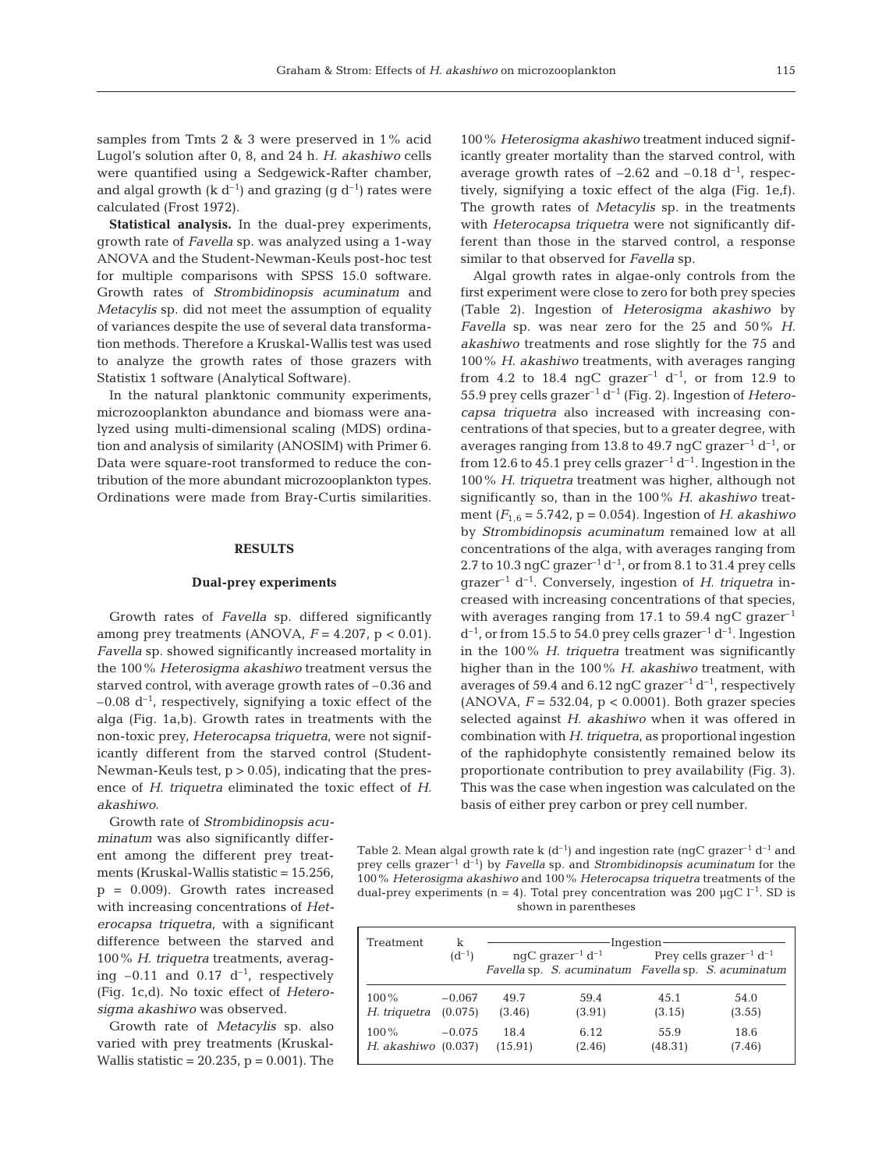samples from Tmts 2 & 3 were preserved in 1% acid Lugol's solution after 0, 8, and 24 h. *H. akashiwo* cells were quantified using a Sedgewick-Rafter chamber, and algal growth (k  $d^{-1}$ ) and grazing (g  $d^{-1}$ ) rates were calculated (Frost 1972).

**Statistical analysis.** In the dual-prey experiments, growth rate of *Favella* sp. was analyzed using a 1-way ANOVA and the Student-Newman-Keuls post-hoc test for multiple comparisons with SPSS 15.0 software. Growth rates of *Strombidinopsis acuminatum* and *Metacylis* sp. did not meet the assumption of equality of variances despite the use of several data transformation methods. Therefore a Kruskal-Wallis test was used to analyze the growth rates of those grazers with Statistix 1 software (Analytical Software).

In the natural planktonic community experiments, microzooplankton abundance and biomass were analyzed using multi-dimensional scaling (MDS) ordination and analysis of similarity (ANOSIM) with Primer 6. Data were square-root transformed to reduce the contribution of the more abundant microzooplankton types. Ordinations were made from Bray-Curtis similarities.

## **RESULTS**

## **Dual-prey experiments**

Growth rates of *Favella* sp. differed significantly among prey treatments (ANOVA,  $F = 4.207$ ,  $p < 0.01$ ). *Favella* sp. showed significantly increased mortality in the 100% *Heterosigma akashiwo* treatment versus the starved control, with average growth rates of –0.36 and  $-0.08$  d<sup>-1</sup>, respectively, signifying a toxic effect of the alga (Fig. 1a,b). Growth rates in treatments with the non-toxic prey, *Heterocapsa triquetra*, were not significantly different from the starved control (Student-Newman-Keuls test,  $p > 0.05$ , indicating that the presence of *H. triquetra* eliminated the toxic effect of *H. akashiwo*.

Growth rate of *Strombidinopsis acuminatum* was also significantly different among the different prey treatments (Kruskal-Wallis statistic = 15.256,  $p = 0.009$ . Growth rates increased with increasing concentrations of *Heterocapsa triquetra*, with a significant difference between the starved and 100% *H. triquetra* treatments, averaging  $-0.11$  and  $0.17$  d<sup>-1</sup>, respectively (Fig. 1c,d). No toxic effect of *Heterosigma akashiwo* was observed.

Growth rate of *Metacylis* sp. also varied with prey treatments (Kruskal-Wallis statistic =  $20.235$ , p =  $0.001$ ). The 100% *Heterosigma akashiwo* treatment induced significantly greater mortality than the starved control, with average growth rates of  $-2.62$  and  $-0.18$  d<sup>-1</sup>, respectively, signifying a toxic effect of the alga (Fig. 1e,f). The growth rates of *Metacylis* sp. in the treatments with *Heterocapsa triquetra* were not significantly different than those in the starved control, a response similar to that observed for *Favella* sp.

Algal growth rates in algae-only controls from the first experiment were close to zero for both prey species (Table 2). Ingestion of *Heterosigma akashiwo* by *Favella* sp. was near zero for the 25 and 50% *H. akashiwo* treatments and rose slightly for the 75 and 100% *H. akashiwo* treatments, with averages ranging from 4.2 to 18.4 ngC grazer<sup>-1</sup>  $d^{-1}$ , or from 12.9 to 55.9 prey cells grazer–1 d–1 (Fig. 2). Ingestion of *Heterocapsa triquetra* also increased with increasing concentrations of that species, but to a greater degree, with averages ranging from 13.8 to 49.7 ngC grazer<sup>-1</sup>  $d^{-1}$ , or from 12.6 to 45.1 prey cells grazer<sup>-1</sup>  $d^{-1}$ . Ingestion in the 100% *H. triquetra* treatment was higher, although not significantly so, than in the 100% *H. akashiwo* treatment  $(F_{1,6} = 5.742, p = 0.054)$ . Ingestion of *H. akashiwo* by *Strombidinopsis acuminatum* remained low at all concentrations of the alga, with averages ranging from 2.7 to 10.3 ngC grazer<sup>-1</sup>  $d^{-1}$ , or from 8.1 to 31.4 prey cells grazer–1 d–1. Conversely, ingestion of *H. triquetra* increased with increasing concentrations of that species, with averages ranging from 17.1 to 59.4 ngC grazer<sup>-1</sup>  $d^{-1}$ , or from 15.5 to 54.0 prey cells grazer<sup>-1</sup>  $d^{-1}$ . Ingestion in the 100% *H. triquetra* treatment was significantly higher than in the 100% *H. akashiwo* treatment, with averages of 59.4 and 6.12 ngC grazer<sup>-1</sup>  $d^{-1}$ , respectively (ANOVA,  $F = 532.04$ ,  $p < 0.0001$ ). Both grazer species selected against *H. akashiwo* when it was offered in combination with *H. triquetra*, as proportional ingestion of the raphidophyte consistently remained below its proportionate contribution to prey availability (Fig. 3). This was the case when ingestion was calculated on the basis of either prey carbon or prey cell number.

Table 2. Mean algal growth rate k  $(d^{-1})$  and ingestion rate (ngC grazer<sup>-1</sup>  $d^{-1}$  and prey cells grazer–1 d–1) by *Favella* sp. and *Strombidinopsis acuminatum* for the 100% *Heterosigma akashiwo* and 100% *Heterocapsa triquetra* treatments of the dual-prey experiments (n = 4). Total prey concentration was 200  $\mu$ gC l<sup>-1</sup>. SD is shown in parentheses

| Treatment               | k          | Ingestion- |                                                     |         |                                          |
|-------------------------|------------|------------|-----------------------------------------------------|---------|------------------------------------------|
|                         | $(d^{-1})$ |            | $\rm ngC~grazer^{-1}~d^{-1}$                        |         | Prey cells grazer <sup>-1</sup> $d^{-1}$ |
|                         |            |            | Favella sp. S. acuminatum Favella sp. S. acuminatum |         |                                          |
| $100\%$                 | $-0.067$   | 49.7       | 59.4                                                | 45.1    | 54.0                                     |
| H. triquetra            | (0.075)    | (3.46)     | (3.91)                                              | (3.15)  | (3.55)                                   |
| $100\%$                 | $-0.075$   | 18.4       | 6.12                                                | 55.9    | 18.6                                     |
| $H.$ akashiwo $(0.037)$ |            | (15.91)    | (2.46)                                              | (48.31) | (7.46)                                   |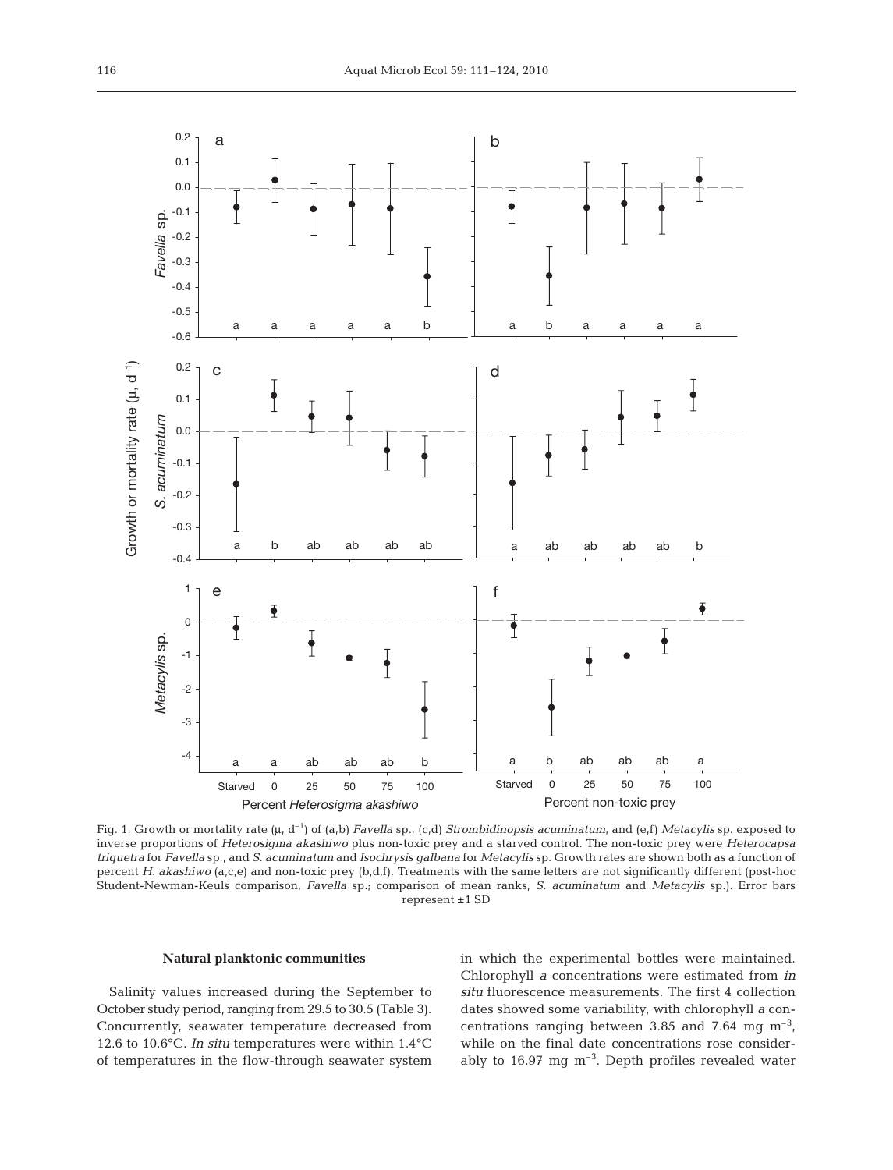

Fig. 1. Growth or mortality rate (μ, d–1) of (a,b) *Favella* sp., (c,d) *Strombidinopsis acuminatum*, and (e,f) *Metacylis* sp. exposed to inverse proportions of *Heterosigma akashiwo* plus non-toxic prey and a starved control. The non-toxic prey were *Heterocapsa triquetra* for *Favella* sp., and *S. acuminatum* and *Isochrysis galbana* for *Metacylis* sp. Growth rates are shown both as a function of percent *H. akashiwo* (a,c,e) and non-toxic prey (b,d,f). Treatments with the same letters are not significantly different (post-hoc Student-Newman-Keuls comparison, *Favella* sp.; comparison of mean ranks, *S. acuminatum* and *Metacylis* sp.). Error bars represent ±1 SD

#### **Natural planktonic communities**

Salinity values increased during the September to October study period, ranging from 29.5 to 30.5 (Table 3). Concurrently, seawater temperature decreased from 12.6 to 10.6°C. *In situ* temperatures were within 1.4°C of temperatures in the flow-through seawater system in which the experimental bottles were maintained. Chlorophyll *a* concentrations were estimated from *in situ* fluorescence measurements. The first 4 collection dates showed some variability, with chlorophyll *a* concentrations ranging between 3.85 and 7.64 mg  $m^{-3}$ , while on the final date concentrations rose considerably to  $16.97$  mg m<sup>-3</sup>. Depth profiles revealed water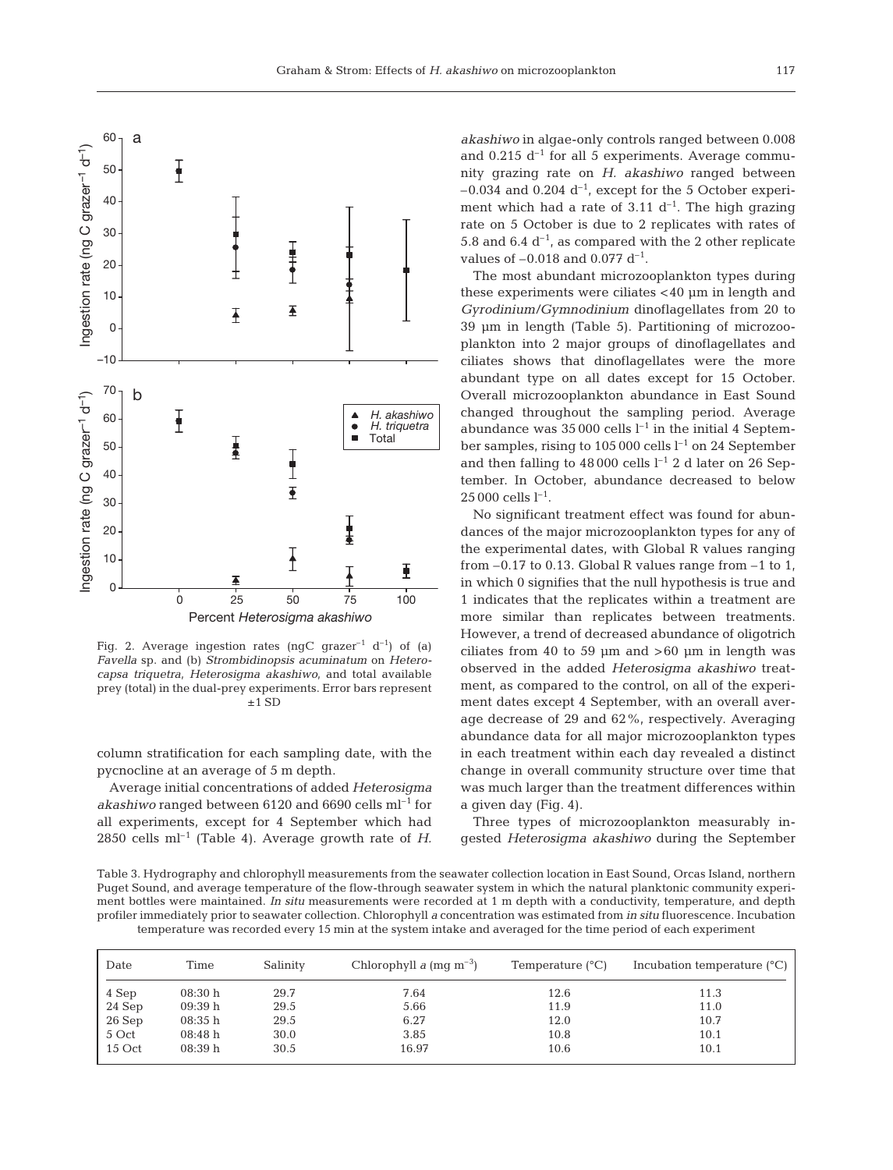

Fig. 2. Average ingestion rates (ngC grazer<sup>-1</sup> d<sup>-1</sup>) of (a) *Favella* sp. and (b) *Strombidinopsis acuminatum* on *Heterocapsa triquetra*, *Heterosigma akashiwo*, and total available prey (total) in the dual-prey experiments. Error bars represent  $±1$  SD

column stratification for each sampling date, with the pycnocline at an average of 5 m depth.

Average initial concentrations of added *Heterosigma akashiwo* ranged between 6120 and 6690 cells ml–1 for all experiments, except for 4 September which had 2850 cells  $ml^{-1}$  (Table 4). Average growth rate of *H.*  *akashiwo* in algae-only controls ranged between 0.008 and  $0.215$  d<sup>-1</sup> for all 5 experiments. Average community grazing rate on *H. akashiwo* ranged between  $-0.034$  and 0.204  $d^{-1}$ , except for the 5 October experiment which had a rate of 3.11  $d^{-1}$ . The high grazing rate on 5 October is due to 2 replicates with rates of 5.8 and 6.4  $d^{-1}$ , as compared with the 2 other replicate values of  $-0.018$  and 0.077 d<sup>-1</sup>.

The most abundant microzooplankton types during these experiments were ciliates <40 µm in length and *Gyrodinium/Gymnodinium* dinoflagellates from 20 to 39 µm in length (Table 5). Partitioning of microzooplankton into 2 major groups of dinoflagellates and ciliates shows that dinoflagellates were the more abundant type on all dates except for 15 October. Overall microzooplankton abundance in East Sound changed throughout the sampling period. Average abundance was  $35\,000$  cells  $l^{-1}$  in the initial 4 September samples, rising to 105 000 cells  $l^{-1}$  on 24 September and then falling to 48 000 cells  $l^{-1}$  2 d later on 26 September. In October, abundance decreased to below  $25\,000$  cells  $l^{-1}$ .

No significant treatment effect was found for abundances of the major microzooplankton types for any of the experimental dates, with Global R values ranging from  $-0.17$  to 0.13. Global R values range from  $-1$  to 1, in which 0 signifies that the null hypothesis is true and 1 indicates that the replicates within a treatment are more similar than replicates between treatments. However, a trend of decreased abundance of oligotrich ciliates from 40 to 59  $\mu$ m and >60  $\mu$ m in length was observed in the added *Heterosigma akashiwo* treatment, as compared to the control, on all of the experiment dates except 4 September, with an overall average decrease of 29 and 62%, respectively. Averaging abundance data for all major microzooplankton types in each treatment within each day revealed a distinct change in overall community structure over time that was much larger than the treatment differences within a given day (Fig. 4).

Three types of microzooplankton measurably ingested *Heterosigma akashiwo* during the September

Table 3. Hydrography and chlorophyll measurements from the seawater collection location in East Sound, Orcas Island, northern Puget Sound, and average temperature of the flow-through seawater system in which the natural planktonic community experiment bottles were maintained. *In situ* measurements were recorded at 1 m depth with a conductivity, temperature, and depth profiler immediately prior to seawater collection. Chlorophyll *a* concentration was estimated from *in situ* fluorescence. Incubation temperature was recorded every 15 min at the system intake and averaged for the time period of each experiment

| Date     | Time   | Salinity | Chlorophyll a $(mq m^{-3})$ | Temperature $(^{\circ}C)$ | Incubation temperature $(^{\circ}C)$ |
|----------|--------|----------|-----------------------------|---------------------------|--------------------------------------|
| 4 Sep    | 08:30h | 29.7     | 7.64                        | 12.6                      | 11.3                                 |
| 24 Sep   | 09:39h | 29.5     | 5.66                        | 11.9                      | 11.0                                 |
| $26$ Sep | 08:35h | 29.5     | 6.27                        | 12.0                      | 10.7                                 |
| 5 Oct    | 08:48h | 30.0     | 3.85                        | 10.8                      | 10.1                                 |
| 15 Oct   | 08:39h | 30.5     | 16.97                       | 10.6                      | 10.1                                 |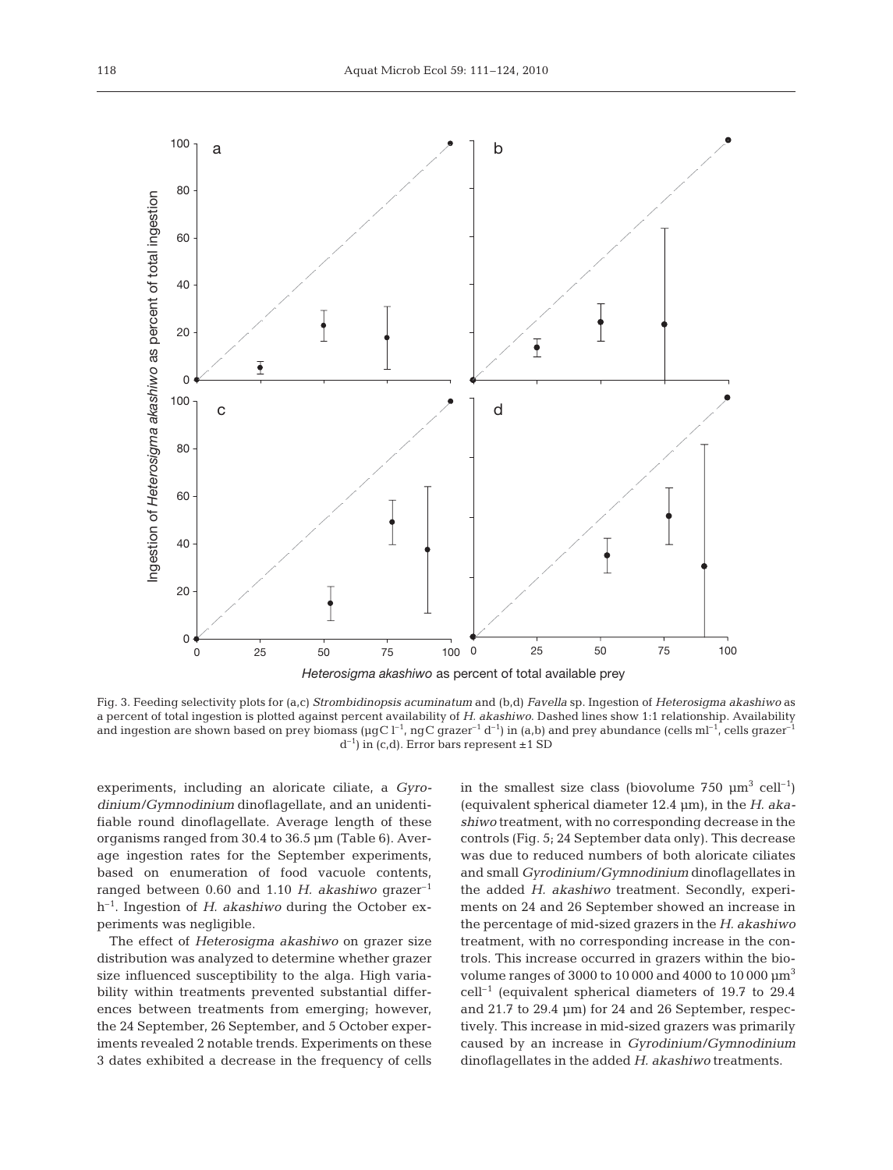

Fig. 3. Feeding selectivity plots for (a,c) *Strombidinopsis acuminatum* and (b,d) *Favella* sp. Ingestion of *Heterosigma akashiwo* as a percent of total ingestion is plotted against percent availability of *H. akashiwo*. Dashed lines show 1:1 relationship. Availability and ingestion are shown based on prey biomass ( $\mu$ gC l<sup>-1</sup>, ngC grazer<sup>-1</sup> d<sup>-1</sup>) in (a,b) and prey abundance (cells ml<sup>-1</sup>, cells grazer<sup>-1</sup>

 $d^{-1}$ ) in (c,d). Error bars represent  $\pm 1$  SD

experiments, including an aloricate ciliate, a *Gyrodinium/Gymnodinium* dinoflagellate, and an unidentifiable round dinoflagellate. Average length of these organisms ranged from 30.4 to 36.5 µm (Table 6). Average ingestion rates for the September experiments, based on enumeration of food vacuole contents, ranged between 0.60 and 1.10 *H. akashiwo* grazer–1 h–1. Ingestion of *H. akashiwo* during the October experiments was negligible.

The effect of *Heterosigma akashiwo* on grazer size distribution was analyzed to determine whether grazer size influenced susceptibility to the alga. High variability within treatments prevented substantial differences between treatments from emerging; however, the 24 September, 26 September, and 5 October experiments revealed 2 notable trends. Experiments on these 3 dates exhibited a decrease in the frequency of cells in the smallest size class (biovolume 750  $\mu$ m<sup>3</sup> cell<sup>-1</sup>) (equivalent spherical diameter 12.4 µm), in the *H. akashiwo* treatment, with no corresponding decrease in the controls (Fig. 5; 24 September data only). This decrease was due to reduced numbers of both aloricate ciliates and small *Gyrodinium/Gymnodinium* dinoflagellates in the added *H. akashiwo* treatment. Secondly, experiments on 24 and 26 September showed an increase in the percentage of mid-sized grazers in the *H. akashiwo* treatment, with no corresponding increase in the controls. This increase occurred in grazers within the biovolume ranges of 3000 to 10 000 and 4000 to 10 000  $\mu$ m<sup>3</sup>  $cell^{-1}$  (equivalent spherical diameters of 19.7 to 29.4 and 21.7 to 29.4 µm) for 24 and 26 September, respectively. This increase in mid-sized grazers was primarily caused by an increase in *Gyrodinium/Gymnodinium* dinoflagellates in the added *H. akashiwo* treatments.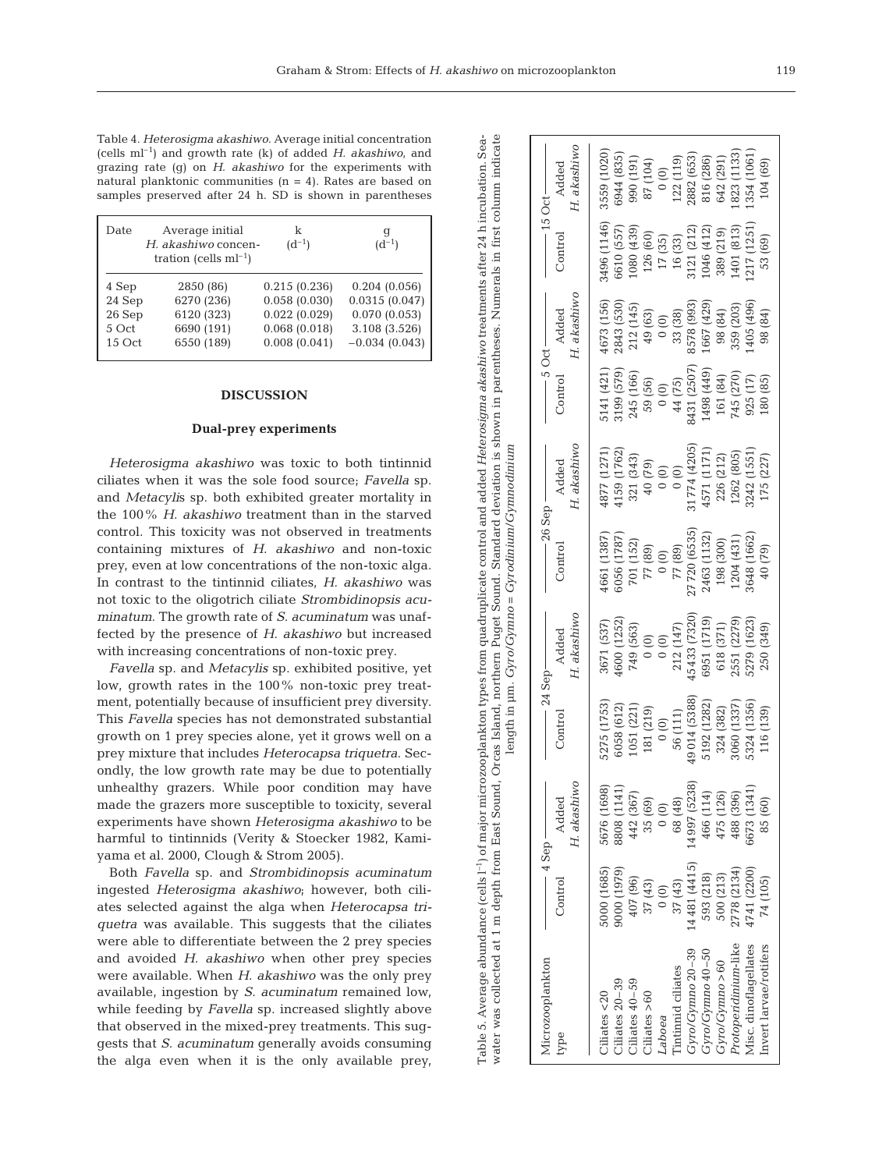Sea-

Table 5. Average abundance (cells l–1) of major microzooplankton types from quadruplicate control and added *Heterosigma akashiwo* treatments after 24 h incubation. Sea-

water was collected at 1 m depth from East Sound, Orcas Island, northern Puget Sound. Standard deviation is shown in parentheses. Numerals in first column indicate Table 5. Average abundance (cells1<sup>-1</sup>) of major microzooplankton types from quadruplicate control and added Heterosigma akashiwo treatments after 24 h incubation.

Table 4. *Heterosigma akashiwo*. Average initial concentration (cells ml–1) and growth rate (k) of added *H. akashiwo*, and grazing rate (g) on *H. akashiwo* for the experiments with natural planktonic communities  $(n = 4)$ . Rates are based on samples preserved after 24 h. SD is shown in parentheses

| Date   | Average initial<br>H. akashiwo concen-<br>tration (cells $ml^{-1}$ ) | k<br>$(d^{-1})$ | q<br>$(d^{-1})$ |
|--------|----------------------------------------------------------------------|-----------------|-----------------|
| 4 Sep  | 2850 (86)                                                            | 0.215(0.236)    | 0.204(0.056)    |
| 24 Sep | 6270 (236)                                                           | 0.058(0.030)    | 0.0315(0.047)   |
| 26 Sep | 6120 (323)                                                           | 0.022(0.029)    | 0.070(0.053)    |
| 5 Oct  | 6690 (191)                                                           | 0.068(0.018)    | 3.108 (3.526)   |
| 15 Oct | 6550 (189)                                                           | 0.008(0.041)    | $-0.034(0.043)$ |
|        |                                                                      |                 |                 |

## **DISCUSSION**

## **Dual-prey experiments**

*Heterosigma akashiwo* was toxic to both tintinnid ciliates when it was the sole food source; *Favella* sp. and *Metacyli*s sp. both exhibited greater mortality in the 100% *H. akashiwo* treatment than in the starved control. This toxicity was not observed in treatments containing mixtures of *H. akashiwo* and non-toxic prey, even at low concentrations of the non-toxic alga. In contrast to the tintinnid ciliates, *H. akashiwo* was not toxic to the oligotrich ciliate *Strombidinopsis acuminatum*. The growth rate of *S. acuminatum* was unaffected by the presence of *H. akashiwo* but increased with increasing concentrations of non-toxic prey.

*Favella* sp. and *Metacylis* sp. exhibited positive, yet low, growth rates in the 100% non-toxic prey treatment, potentially because of insufficient prey diversity. This *Favella* species has not demonstrated substantial growth on 1 prey species alone, yet it grows well on a prey mixture that includes *Heterocapsa triquetra*. Secondly, the low growth rate may be due to potentially unhealthy grazers. While poor condition may have made the grazers more susceptible to toxicity, several experiments have shown *Heterosigma akashiwo* to be harmful to tintinnids (Verity & Stoecker 1982, Kamiyama et al. 2000, Clough & Strom 2005).

Both *Favella* sp. and *Strombidinopsis acuminatum* ingested *Heterosigma akashiwo*; however, both ciliates selected against the alga when *Heterocapsa triquetra* was available. This suggests that the ciliates were able to differentiate between the 2 prey species and avoided *H. akashiwo* when other prey species were available. When *H. akashiwo* was the only prey available, ingestion by *S. acuminatum* remained low, while feeding by *Favella* sp. increased slightly above that observed in the mixed-prey treatments. This suggests that *S. acuminatum* generally avoids consuming the alga even when it is the only available prey,

|                                                                                                                   | H. akashiwo<br>Added     | 3559 (1020)<br>.354(1061)<br>823 (1133)<br>6944 (835)<br>2882 (653)<br>990 (191)<br>122 (119)<br>816 (286)<br>642 (291)<br>87 (104)<br>104 (69)<br>$\frac{1}{2}$                                                                         |  |
|-------------------------------------------------------------------------------------------------------------------|--------------------------|------------------------------------------------------------------------------------------------------------------------------------------------------------------------------------------------------------------------------------------|--|
|                                                                                                                   | $-15$ Oct $-$<br>Control | 3496 (1146)<br>.217(1251)<br>6610 (557)<br>1401 (813)<br>(680)(439)<br>3121 (212)<br>.046(412)<br>389 (219)<br>126 (60)<br>17 (35)<br>16 (33)<br>53 (69)                                                                                 |  |
|                                                                                                                   | H. akashiwo<br>Added     | 4673 (156)<br>2843 (530)<br>(496) 405<br>8578 (993)<br>1667 (429)<br>212 (145)<br>359 (203)<br>98 (84)<br>33 (38)<br>98 (84)<br>49 (63)<br>$\frac{1}{2}$                                                                                 |  |
|                                                                                                                   | $-5$ Oct $-$<br>Control  | 8431 (2507)<br>5141 (421)<br>1498 (449)<br>3199 (579)<br>245 (166)<br>745 (270)<br>161 (84)<br>925 (17)<br>180 (85)<br>59 (56)<br>44 (75)<br>$\circ$ (0)                                                                                 |  |
| Orcas Island, northern Puget Sound. Standard deviation is shown in parentheses. Numerals in first column indicate | H. akashiwo<br>Added     | 31774 (4205<br>3242 (1551)<br>(1271) 1877<br>4159 (1762)<br>4571 (1171)<br>1262 (805)<br>226 (212)<br>175 (227)<br>321 (343)<br>40 (79)<br>$\begin{matrix} 0 \\ 0 \end{matrix}$<br>$\circ$ (0)                                           |  |
|                                                                                                                   | $-26$ Sep<br>Control     | 27720 (6535)<br>4661 (1387)<br>2463 (1132)<br>3648 (1662)<br>5056 (1787)<br>1204 (431)<br>701 (152)<br>198 (300)<br>77 (89)<br>40 (79)<br>77 (89)<br>$\circ$                                                                             |  |
| length in $\mu$ m. Gyro/Gymno = Gyrodinium/Gymnodinium                                                            | H. akashiwo<br>Added     | 5433 (7320)<br>6951 (1719)<br>2551 (2279)<br>5279 (1623)<br>4600 (1252)<br>3671 (537)<br>618 (371)<br>250 (349)<br>212 (147)<br>749 (563)<br>$\overline{0}$ (0)<br>$\overline{0}$ (0)                                                    |  |
|                                                                                                                   | 24 Sep-<br>Control       | 49014 (5388)<br>5324 (1356)<br>5275 (1753)<br>5192 (1282)<br>3060 (1337)<br>6058 (612)<br>116 (139)<br>1051 (221<br>324 (382)<br>181 (219)<br>56 (111)<br>$\begin{matrix} 0 & 0 \\ 0 & 0 \end{matrix}$                                   |  |
|                                                                                                                   | H. akashiwc<br>Added     | 8808 (1141)<br>14997 (5238)<br>5676 (1698)<br>6673 (1341)<br>466 (114)<br>475 (126)<br>488 (396)<br>442 (367)<br>68 (48)<br>85 (60)<br>35 (69)<br>$\circ$                                                                                |  |
|                                                                                                                   | $-$ 4 Sep $-$<br>Control | 14481 (4415)<br>000 (1685)<br>9000 (1979)<br>4741 (2200)<br>2778 (2134)<br>593 (218)<br>500 (213)<br>74 (105)<br>407 (96)<br>37 (43)<br>37 (43)<br>$\circ$ (0)                                                                           |  |
| water was collected at 1 m depth from East Sound,                                                                 | Microzooplankton<br>type | Protoperidinium-like<br>Invert larvae/rotifers<br>Misc. dinoflagellates<br>Gyro/Gymno 20-39<br>Gyro/Gymno 40-50<br>Gyro/Gymno > 60<br>Tintinnid ciliates<br>Ciliates 20-39<br>Ciliates 40-59<br>Ciliates < 20<br>Ciliates > 60<br>Laboea |  |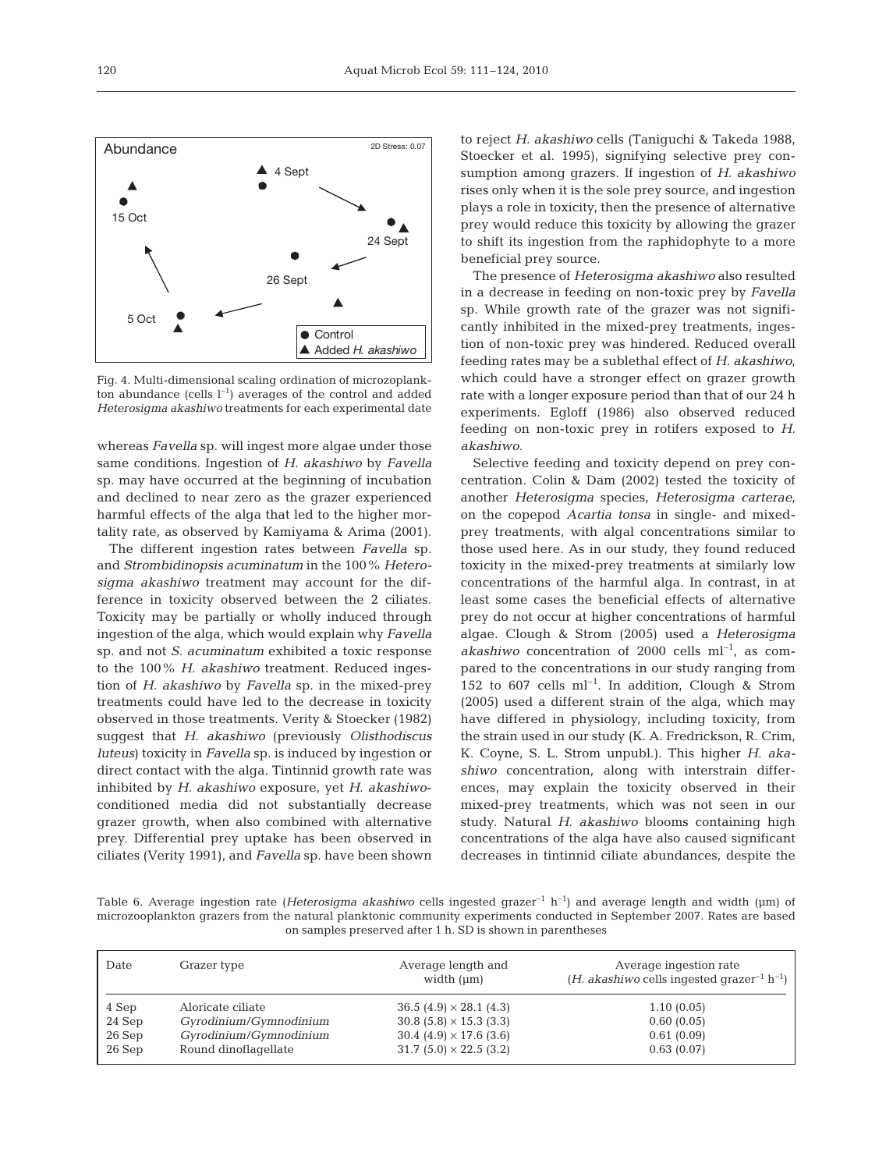

Fig. 4. Multi-dimensional scaling ordination of microzoplankton abundance (cells  $l^{-1}$ ) averages of the control and added *Heterosigma akashiwo* treatments for each experimental date

whereas *Favella* sp. will ingest more algae under those same conditions. Ingestion of *H. akashiwo* by *Favella* sp. may have occurred at the beginning of incubation and declined to near zero as the grazer experienced harmful effects of the alga that led to the higher mortality rate, as observed by Kamiyama & Arima (2001).

The different ingestion rates between *Favella* sp. and *Strombidinopsis acuminatum* in the 100% *Heterosigma akashiwo* treatment may account for the difference in toxicity observed between the 2 ciliates. Toxicity may be partially or wholly induced through ingestion of the alga, which would explain why *Favella* sp. and not *S. acuminatum* exhibited a toxic response to the 100% *H. akashiwo* treatment. Reduced ingestion of *H. akashiwo* by *Favella* sp. in the mixed-prey treatments could have led to the decrease in toxicity observed in those treatments. Verity & Stoecker (1982) suggest that *H. akashiwo* (previously *Olisthodiscus luteus*) toxicity in *Favella* sp. is induced by ingestion or direct contact with the alga. Tintinnid growth rate was inhibited by *H. akashiwo* exposure, yet *H. akashiwo*conditioned media did not substantially decrease grazer growth, when also combined with alternative prey. Differential prey uptake has been observed in ciliates (Verity 1991), and *Favella* sp. have been shown

to reject *H. akashiwo* cells (Taniguchi & Takeda 1988, Stoecker et al. 1995), signifying selective prey consumption among grazers. If ingestion of *H. akashiwo* rises only when it is the sole prey source, and ingestion plays a role in toxicity, then the presence of alternative prey would reduce this toxicity by allowing the grazer to shift its ingestion from the raphidophyte to a more beneficial prey source.

The presence of *Heterosigma akashiwo* also resulted in a decrease in feeding on non-toxic prey by *Favella* sp. While growth rate of the grazer was not significantly inhibited in the mixed-prey treatments, ingestion of non-toxic prey was hindered. Reduced overall feeding rates may be a sublethal effect of *H. akashiwo*, which could have a stronger effect on grazer growth rate with a longer exposure period than that of our 24 h experiments. Egloff (1986) also observed reduced feeding on non-toxic prey in rotifers exposed to *H. akashiwo*.

Selective feeding and toxicity depend on prey concentration. Colin & Dam (2002) tested the toxicity of another *Heterosigma* species, *Heterosigma carterae*, on the copepod *Acartia tonsa* in single- and mixedprey treatments, with algal concentrations similar to those used here. As in our study, they found reduced toxicity in the mixed-prey treatments at similarly low concentrations of the harmful alga. In contrast, in at least some cases the beneficial effects of alternative prey do not occur at higher concentrations of harmful algae. Clough & Strom (2005) used a *Heterosigma akashiwo* concentration of 2000 cells  $ml^{-1}$ , as compared to the concentrations in our study ranging from 152 to 607 cells  $ml^{-1}$ . In addition, Clough & Strom (2005) used a different strain of the alga, which may have differed in physiology, including toxicity, from the strain used in our study (K. A. Fredrickson, R. Crim, K. Coyne, S. L. Strom unpubl.). This higher *H. akashiwo* concentration, along with interstrain differences, may explain the toxicity observed in their mixed-prey treatments, which was not seen in our study. Natural *H. akashiwo* blooms containing high concentrations of the alga have also caused significant decreases in tintinnid ciliate abundances, despite the

Table 6. Average ingestion rate (*Heterosigma akashiwo* cells ingested grazer<sup>-1</sup> h<sup>-1</sup>) and average length and width (µm) of microzooplankton grazers from the natural planktonic community experiments conducted in September 2007. Rates are based on samples preserved after 1 h. SD is shown in parentheses

| Date   | Grazer type            | Average length and<br>width $(\mu m)$ | Average ingestion rate<br>$(H. akashiwo$ cells ingested grazer <sup>-1</sup> h <sup>-1</sup> ) |
|--------|------------------------|---------------------------------------|------------------------------------------------------------------------------------------------|
| 4 Sep  | Aloricate ciliate      | $36.5 (4.9) \times 28.1 (4.3)$        | 1.10(0.05)                                                                                     |
| 24 Sep | Gyrodinium/Gymnodinium | $30.8$ (5.8) $\times$ 15.3 (3.3)      | 0.60(0.05)                                                                                     |
| 26 Sep | Gyrodinium/Gymnodinium | $30.4$ (4.9) $\times$ 17.6 (3.6)      | 0.61(0.09)                                                                                     |
| 26 Sep | Round dinoflagellate   | $31.7(5.0) \times 22.5(3.2)$          | 0.63(0.07)                                                                                     |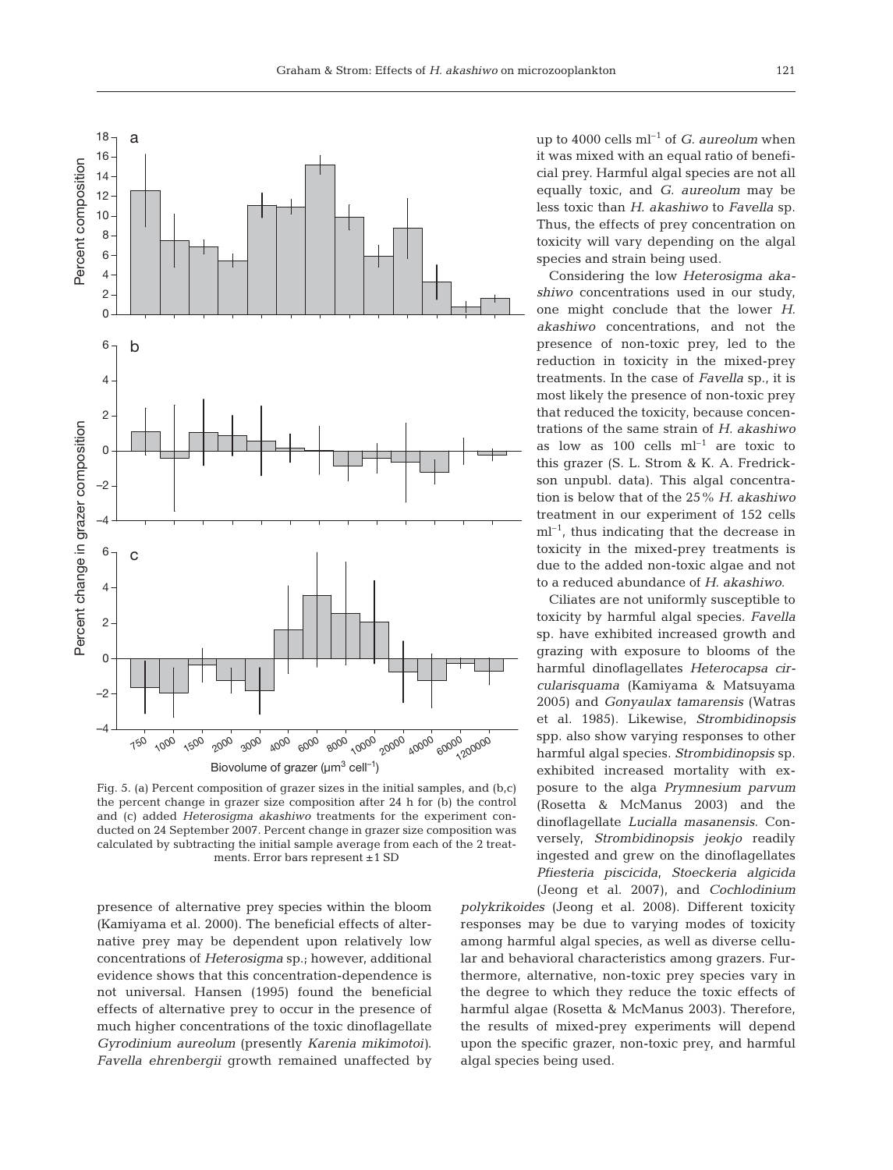

Fig. 5. (a) Percent composition of grazer sizes in the initial samples, and (b,c) the percent change in grazer size composition after 24 h for (b) the control and (c) added *Heterosigma akashiwo* treatments for the experiment conducted on 24 September 2007. Percent change in grazer size composition was calculated by subtracting the initial sample average from each of the 2 treatments. Error bars represent ±1 SD

presence of alternative prey species within the bloom (Kamiyama et al. 2000). The beneficial effects of alternative prey may be dependent upon relatively low concentrations of *Heterosigma* sp.; however, additional evidence shows that this concentration-dependence is not universal. Hansen (1995) found the beneficial effects of alternative prey to occur in the presence of much higher concentrations of the toxic dinoflagellate *Gyrodinium aureolum* (presently *Karenia mikimotoi)*. *Favella ehrenbergii* growth remained unaffected by

up to 4000 cells ml–1 of *G. aureolum* when it was mixed with an equal ratio of beneficial prey. Harmful algal species are not all equally toxic, and *G. aureolum* may be less toxic than *H. akashiwo* to *Favella* sp. Thus, the effects of prey concentration on toxicity will vary depending on the algal species and strain being used.

Considering the low *Heterosigma akashiwo* concentrations used in our study, one might conclude that the lower *H. akashiwo* concentrations, and not the presence of non-toxic prey, led to the reduction in toxicity in the mixed-prey treatments. In the case of *Favella* sp., it is most likely the presence of non-toxic prey that reduced the toxicity, because concentrations of the same strain of *H. akashiwo* as low as 100 cells  $ml^{-1}$  are toxic to this grazer (S. L. Strom & K. A. Fredrickson unpubl. data). This algal concentration is below that of the 25% *H. akashiwo* treatment in our experiment of 152 cells  $ml^{-1}$ , thus indicating that the decrease in toxicity in the mixed-prey treatments is due to the added non-toxic algae and not to a reduced abundance of *H. akashiwo*.

Ciliates are not uniformly susceptible to toxicity by harmful algal species. *Favella* sp. have exhibited increased growth and grazing with exposure to blooms of the harmful dinoflagellates *Heterocapsa circularisquama* (Kamiyama & Matsuyama 2005) and *Gonyaulax tamarensis* (Watras et al. 1985). Likewise, *Strombidinopsis* spp. also show varying responses to other harmful algal species. *Strombidinopsis* sp. exhibited increased mortality with exposure to the alga *Prymnesium parvum* (Rosetta & McManus 2003) and the dinoflagellate *Lucialla masanensis*. Conversely, *Strombidinopsis jeokjo* readily ingested and grew on the dinoflagellates *Pfiesteria piscicida*, *Stoeckeria algicida* (Jeong et al. 2007), and *Cochlodinium*

*polykrikoides* (Jeong et al. 2008). Different toxicity responses may be due to varying modes of toxicity among harmful algal species, as well as diverse cellular and behavioral characteristics among grazers. Furthermore, alternative, non-toxic prey species vary in the degree to which they reduce the toxic effects of harmful algae (Rosetta & McManus 2003). Therefore, the results of mixed-prey experiments will depend upon the specific grazer, non-toxic prey, and harmful algal species being used.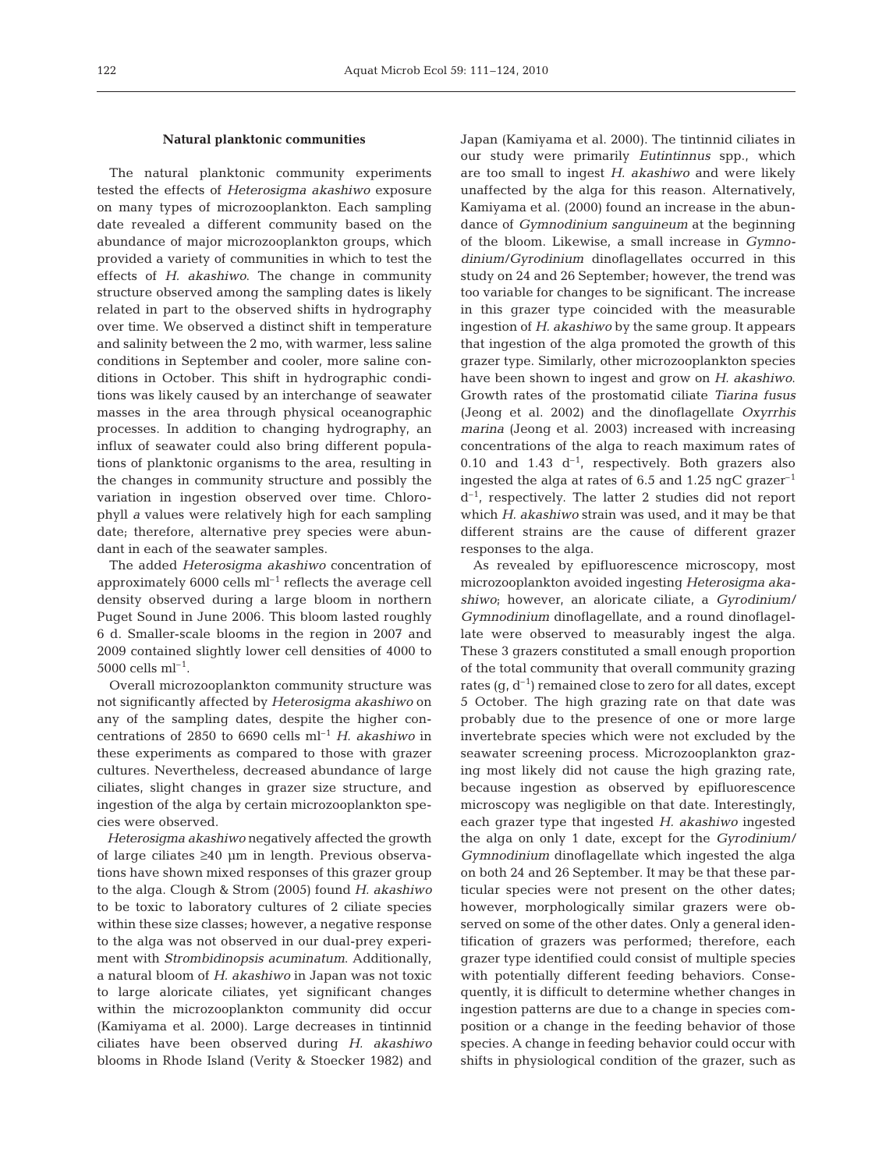## **Natural planktonic communities**

The natural planktonic community experiments tested the effects of *Heterosigma akashiwo* exposure on many types of microzooplankton. Each sampling date revealed a different community based on the abundance of major microzooplankton groups, which provided a variety of communities in which to test the effects of *H. akashiwo*. The change in community structure observed among the sampling dates is likely related in part to the observed shifts in hydrography over time. We observed a distinct shift in temperature and salinity between the 2 mo, with warmer, less saline conditions in September and cooler, more saline conditions in October. This shift in hydrographic conditions was likely caused by an interchange of seawater masses in the area through physical oceanographic processes. In addition to changing hydrography, an influx of seawater could also bring different populations of planktonic organisms to the area, resulting in the changes in community structure and possibly the variation in ingestion observed over time. Chlorophyll *a* values were relatively high for each sampling date; therefore, alternative prey species were abundant in each of the seawater samples.

The added *Heterosigma akashiwo* concentration of approximately  $6000$  cells  $ml^{-1}$  reflects the average cell density observed during a large bloom in northern Puget Sound in June 2006. This bloom lasted roughly 6 d. Smaller-scale blooms in the region in 2007 and 2009 contained slightly lower cell densities of 4000 to  $5000$  cells ml<sup>-1</sup>.

Overall microzooplankton community structure was not significantly affected by *Heterosigma akashiwo* on any of the sampling dates, despite the higher concentrations of 2850 to 6690 cells ml–1 *H. akashiwo* in these experiments as compared to those with grazer cultures. Nevertheless, decreased abundance of large ciliates, slight changes in grazer size structure, and ingestion of the alga by certain microzooplankton species were observed.

*Heterosigma akashiwo* negatively affected the growth of large ciliates ≥40 µm in length. Previous observations have shown mixed responses of this grazer group to the alga. Clough & Strom (2005) found *H. akashiwo* to be toxic to laboratory cultures of 2 ciliate species within these size classes; however, a negative response to the alga was not observed in our dual-prey experiment with *Strombidinopsis acuminatum*. Additionally, a natural bloom of *H. akashiwo* in Japan was not toxic to large aloricate ciliates, yet significant changes within the microzooplankton community did occur (Kamiyama et al. 2000). Large decreases in tintinnid ciliates have been observed during *H. akashiwo* blooms in Rhode Island (Verity & Stoecker 1982) and

Japan (Kamiyama et al. 2000). The tintinnid ciliates in our study were primarily *Eutintinnus* spp., which are too small to ingest *H. akashiwo* and were likely unaffected by the alga for this reason. Alternatively, Kamiyama et al. (2000) found an increase in the abundance of *Gymnodinium sanguineum* at the beginning of the bloom. Likewise, a small increase in *Gymnodinium/Gyrodinium* dinoflagellates occurred in this study on 24 and 26 September; however, the trend was too variable for changes to be significant. The increase in this grazer type coincided with the measurable ingestion of *H. akashiwo* by the same group. It appears that ingestion of the alga promoted the growth of this grazer type. Similarly, other microzooplankton species have been shown to ingest and grow on *H. akashiwo*. Growth rates of the prostomatid ciliate *Tiarina fusus* (Jeong et al. 2002) and the dinoflagellate *Oxyrrhis marina* (Jeong et al. 2003) increased with increasing concentrations of the alga to reach maximum rates of 0.10 and 1.43  $d^{-1}$ , respectively. Both grazers also ingested the alga at rates of 6.5 and 1.25 ngC grazer<sup>-1</sup> d–1, respectively. The latter 2 studies did not report which *H. akashiwo* strain was used, and it may be that different strains are the cause of different grazer responses to the alga.

As revealed by epifluorescence microscopy, most microzooplankton avoided ingesting *Heterosigma akashiwo*; however, an aloricate ciliate, a *Gyrodinium/ Gymnodinium* dinoflagellate, and a round dinoflagellate were observed to measurably ingest the alga. These 3 grazers constituted a small enough proportion of the total community that overall community grazing rates  $(g, d^{-1})$  remained close to zero for all dates, except 5 October. The high grazing rate on that date was probably due to the presence of one or more large invertebrate species which were not excluded by the seawater screening process. Microzooplankton grazing most likely did not cause the high grazing rate, because ingestion as observed by epifluorescence microscopy was negligible on that date. Interestingly, each grazer type that ingested *H. akashiwo* ingested the alga on only 1 date, except for the *Gyrodinium/ Gymnodinium* dinoflagellate which ingested the alga on both 24 and 26 September. It may be that these particular species were not present on the other dates; however, morphologically similar grazers were observed on some of the other dates. Only a general identification of grazers was performed; therefore, each grazer type identified could consist of multiple species with potentially different feeding behaviors. Consequently, it is difficult to determine whether changes in ingestion patterns are due to a change in species composition or a change in the feeding behavior of those species. A change in feeding behavior could occur with shifts in physiological condition of the grazer, such as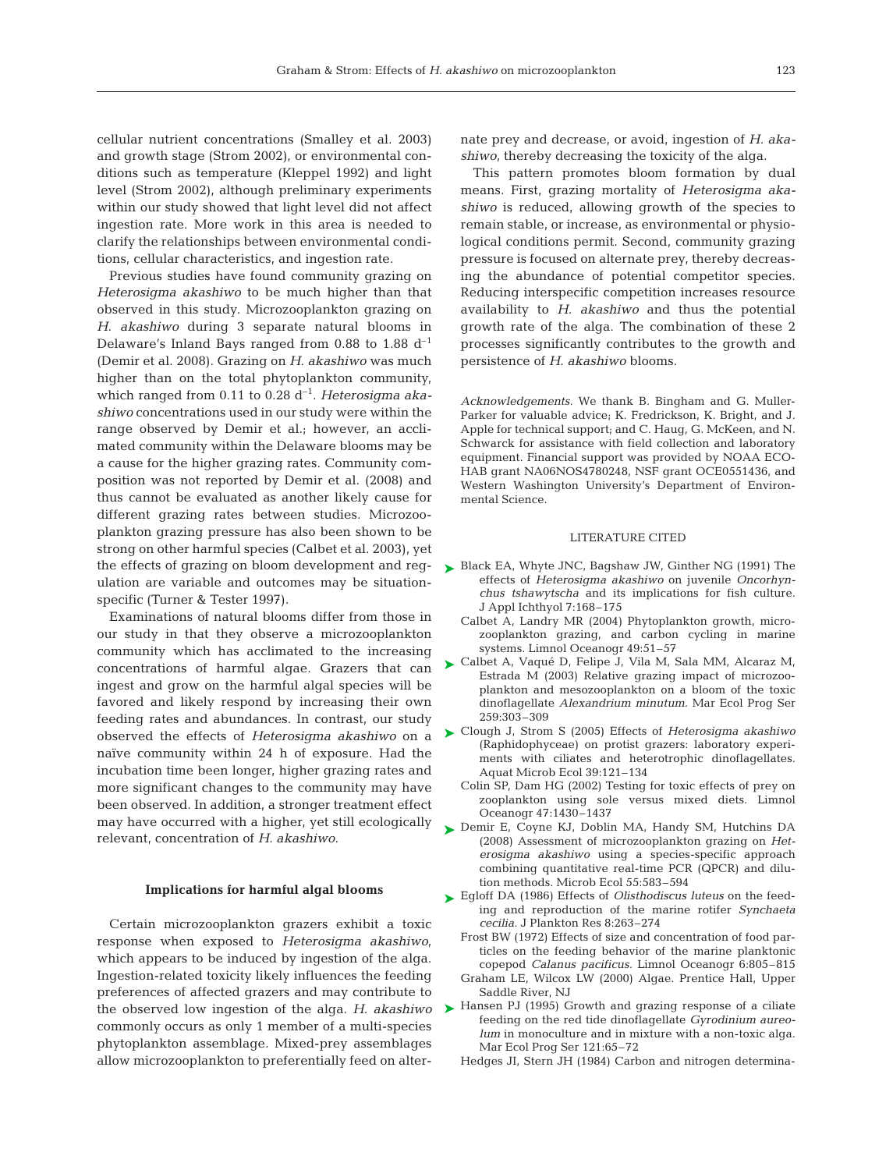cellular nutrient concentrations (Smalley et al. 2003) and growth stage (Strom 2002), or environmental conditions such as temperature (Kleppel 1992) and light level (Strom 2002), although preliminary experiments within our study showed that light level did not affect ingestion rate. More work in this area is needed to clarify the relationships between environmental conditions, cellular characteristics, and ingestion rate.

Previous studies have found community grazing on *Heterosigma akashiwo* to be much higher than that observed in this study. Microzooplankton grazing on *H. akashiwo* during 3 separate natural blooms in Delaware's Inland Bays ranged from 0.88 to 1.88  $d^{-1}$ (Demir et al. 2008). Grazing on *H. akashiwo* was much higher than on the total phytoplankton community, which ranged from 0.11 to 0.28 d<sup>-1</sup>. Heterosigma aka*shiwo* concentrations used in our study were within the range observed by Demir et al.; however, an acclimated community within the Delaware blooms may be a cause for the higher grazing rates. Community composition was not reported by Demir et al. (2008) and thus cannot be evaluated as another likely cause for different grazing rates between studies. Microzooplankton grazing pressure has also been shown to be strong on other harmful species (Calbet et al. 2003), yet ulation are variable and outcomes may be situationspecific (Turner & Tester 1997).

Examinations of natural blooms differ from those in our study in that they observe a microzooplankton community which has acclimated to the increasing concentrations of harmful algae. Grazers that can ingest and grow on the harmful algal species will be favored and likely respond by increasing their own feeding rates and abundances. In contrast, our study observed the effects of *Heterosigma akashiwo* on a naïve community within 24 h of exposure. Had the incubation time been longer, higher grazing rates and more significant changes to the community may have been observed. In addition, a stronger treatment effect may have occurred with a higher, yet still ecologically relevant, concentration of *H. akashiwo*.

## **Implications for harmful algal blooms**

Certain microzooplankton grazers exhibit a toxic response when exposed to *Heterosigma akashiwo*, which appears to be induced by ingestion of the alga. Ingestion-related toxicity likely influences the feeding preferences of affected grazers and may contribute to the observed low ingestion of the alga. *H. akashiwo* ▶ Hansen PJ (1995) Growth and grazing response of a ciliate commonly occurs as only 1 member of a multi-species phytoplankton assemblage. Mixed-prey assemblages allow microzooplankton to preferentially feed on alter-

nate prey and decrease, or avoid, ingestion of *H. akashiwo*, thereby decreasing the toxicity of the alga.

This pattern promotes bloom formation by dual means. First, grazing mortality of *Heterosigma akashiwo* is reduced, allowing growth of the species to remain stable, or increase, as environmental or physiological conditions permit. Second, community grazing pressure is focused on alternate prey, thereby decreasing the abundance of potential competitor species. Reducing interspecific competition increases resource availability to *H. akashiwo* and thus the potential growth rate of the alga. The combination of these 2 processes significantly contributes to the growth and persistence of *H. akashiwo* blooms.

*Acknowledgements.* We thank B. Bingham and G. Muller-Parker for valuable advice; K. Fredrickson, K. Bright, and J. Apple for technical support; and C. Haug, G. McKeen, and N. Schwarck for assistance with field collection and laboratory equipment. Financial support was provided by NOAA ECO-HAB grant NA06NOS4780248, NSF grant OCE0551436, and Western Washington University's Department of Environmental Science.

## LITERATURE CITED

- the effects of grazing on bloom development and reg-  $\;\blacktriangleright\;$  Black EA, Whyte JNC, Bagshaw JW, Ginther NG (1991) The effects of *Heterosigma akashiwo* on juvenile *Oncorhynchus tshawytscha* and its implications for fish culture. J Appl Ichthyol 7:168–175
	- Calbet A, Landry MR (2004) Phytoplankton growth, microzooplankton grazing, and carbon cycling in marine systems. Limnol Oceanogr 49:51–57
	- ► Calbet A, Vaqué D, Felipe J, Vila M, Sala MM, Alcaraz M, Estrada M (2003) Relative grazing impact of microzooplankton and mesozooplankton on a bloom of the toxic dinoflagellate *Alexandrium minutum.* Mar Ecol Prog Ser 259:303–309
	- Clough J, Strom S (2005) Effects of *Heterosigma akashiwo* ➤ (Raphidophyceae) on protist grazers: laboratory experiments with ciliates and heterotrophic dinoflagellates. Aquat Microb Ecol 39:121–134
		- Colin SP, Dam HG (2002) Testing for toxic effects of prey on zooplankton using sole versus mixed diets. Limnol Oceanogr 47:1430–1437
	- Demir E, Coyne KJ, Doblin MA, Handy SM, Hutchins DA ➤ (2008) Assessment of microzooplankton grazing on *Heterosigma akashiwo* using a species-specific approach combining quantitative real-time PCR (QPCR) and dilution methods. Microb Ecol 55:583–594
	- ► Egloff DA (1986) Effects of *Olisthodiscus luteus* on the feeding and reproduction of the marine rotifer *Synchaeta cecilia.* J Plankton Res 8:263–274
		- Frost BW (1972) Effects of size and concentration of food particles on the feeding behavior of the marine planktonic copepod *Calanus pacificus.* Limnol Oceanogr 6:805–815
		- Graham LE, Wilcox LW (2000) Algae. Prentice Hall, Upper Saddle River, NJ
		- feeding on the red tide dinoflagellate *Gyrodinium aureolum* in monoculture and in mixture with a non-toxic alga. Mar Ecol Prog Ser 121:65–72
		- Hedges JI, Stern JH (1984) Carbon and nitrogen determina-